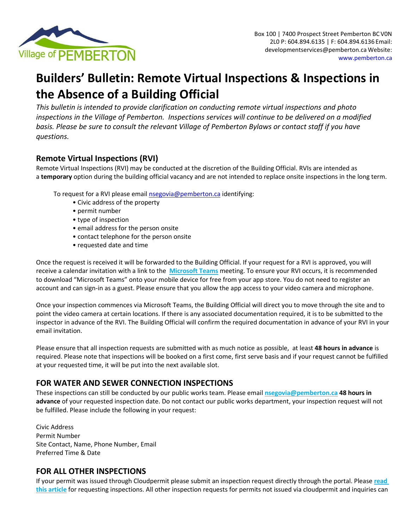

# **Builders' Bulletin: Remote Virtual Inspections & Inspections in the Absence of a Building Official**

*This bulletin is intended to provide clarification on conducting remote virtual inspections and photo inspections in the Village of Pemberton. Inspections services will continue to be delivered on a modified basis. Please be sure to consult the relevant Village of Pemberton Bylaws or contact staff if you have questions.* 

## **Remote Virtual Inspections (RVI)**

Remote Virtual Inspections (RVI) may be conducted at the discretion of the Building Official. RVIs are intended as a **temporary** option during the building official vacancy and are not intended to replace onsite inspections in the long term.

To request for a RVI please email [nsegovia@pemberton.ca](mailto:nsegovia@pemberton.ca?subject=Inspection%20Request) identifying:

- Civic address of the property
- permit number
- type of inspection
- email address for the person onsite
- contact telephone for the person onsite
- requested date and time

Once the request is received it will be forwarded to the Building Official. If your request for a RVI is approved, you will receive a calendar invitation with a link to the **[Microsoft Teams](https://www.microsoft.com/en-ca/microsoft-teams/download-app)** meeting. To ensure your RVI occurs, it is recommended to download "Microsoft Teams" onto your mobile device for free from your app store. You do not need to register an account and can sign‐in as a guest. Please ensure that you allow the app access to your video camera and microphone.

Once your inspection commences via Microsoft Teams, the Building Official will direct you to move through the site and to point the video camera at certain locations. If there is any associated documentation required, it is to be submitted to the inspector in advance of the RVI. The Building Official will confirm the required documentation in advance of your RVI in your email invitation.

Please ensure that all inspection requests are submitted with as much notice as possible, at least **48 hours in advance** is required. Please note that inspections will be booked on a first come, first serve basis and if your request cannot be fulfilled at your requested time, it will be put into the next available slot.

## **FOR WATER AND SEWER CONNECTION INSPECTIONS**

These inspections can still be conducted by our public works team. Please email **[nsegovia@pemberton.ca](mailto:nsegovia@pemberton.ca) 48 hours in advance** of your requested inspection date. Do not contact our public works department, your inspection request will not be fulfilled. Please include the following in your request:

Civic Address Permit Number Site Contact, Name, Phone Number, Email Preferred Time & Date

## **FOR ALL OTHER INSPECTIONS**

If your permit was issued through Cloudpermit please submit an inspection request directly through the portal. Please **[read](https://support.cloudpermit.com/support/solutions/articles/67000679662-how-to-request-an-inspection)  [this article](https://support.cloudpermit.com/support/solutions/articles/67000679662-how-to-request-an-inspection)** for requesting inspections. All other inspection requests for permits not issued via cloudpermit and inquiries can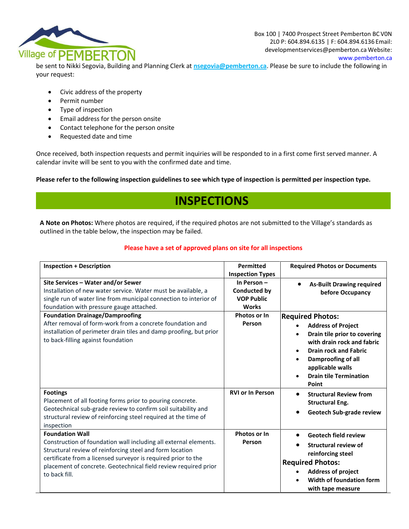

be sent to Nikki Segovia, Building and Planning Clerk at **[nsegovia@pemberton.ca](mailto:nsegovia@pemberton.ca)**. Please be sure to include the following in your request:

- Civic address of the property
- Permit number
- Type of inspection
- Email address for the person onsite
- Contact telephone for the person onsite
- Requested date and time

Once received, both inspection requests and permit inquiries will be responded to in a first come first served manner. A calendar invite will be sent to you with the confirmed date and time.

**Please refer to the following inspection guidelines to see which type of inspection is permitted per inspection type.**

## **INSPECTIONS**

**A Note on Photos:** Where photos are required, if the required photos are not submitted to the Village's standards as outlined in the table below, the inspection may be failed.

#### **Please have a set of approved plans on site for all inspections**

| <b>Inspection + Description</b>                                                                                                                                                                                                                                                                             | Permitted                                                       | <b>Required Photos or Documents</b>                                                                                                                                                                                                                                           |
|-------------------------------------------------------------------------------------------------------------------------------------------------------------------------------------------------------------------------------------------------------------------------------------------------------------|-----------------------------------------------------------------|-------------------------------------------------------------------------------------------------------------------------------------------------------------------------------------------------------------------------------------------------------------------------------|
|                                                                                                                                                                                                                                                                                                             | <b>Inspection Types</b>                                         |                                                                                                                                                                                                                                                                               |
| Site Services - Water and/or Sewer<br>Installation of new water service. Water must be available, a<br>single run of water line from municipal connection to interior of<br>foundation with pressure gauge attached.                                                                                        | In Person-<br>Conducted by<br><b>VOP Public</b><br><b>Works</b> | <b>As-Built Drawing required</b><br>before Occupancy                                                                                                                                                                                                                          |
| <b>Foundation Drainage/Damproofing</b><br>After removal of form-work from a concrete foundation and<br>installation of perimeter drain tiles and damp proofing, but prior<br>to back-filling against foundation                                                                                             | Photos or In<br>Person                                          | <b>Required Photos:</b><br><b>Address of Project</b><br>Drain tile prior to covering<br>with drain rock and fabric<br><b>Drain rock and Fabric</b><br>$\bullet$<br>Damproofing of all<br>$\bullet$<br>applicable walls<br><b>Drain tile Termination</b><br>$\bullet$<br>Point |
| <b>Footings</b><br>Placement of all footing forms prior to pouring concrete.<br>Geotechnical sub-grade review to confirm soil suitability and<br>structural review of reinforcing steel required at the time of<br>inspection                                                                               | <b>RVI or In Person</b>                                         | <b>Structural Review from</b><br>$\bullet$<br><b>Structural Eng.</b><br>Geotech Sub-grade review                                                                                                                                                                              |
| <b>Foundation Wall</b><br>Construction of foundation wall including all external elements.<br>Structural review of reinforcing steel and form location<br>certificate from a licensed surveyor is required prior to the<br>placement of concrete. Geotechnical field review required prior<br>to back fill. | Photos or In<br>Person                                          | <b>Geotech field review</b><br>٠<br><b>Structural review of</b><br>reinforcing steel<br><b>Required Photos:</b><br><b>Address of project</b><br>Width of foundation form<br>with tape measure                                                                                 |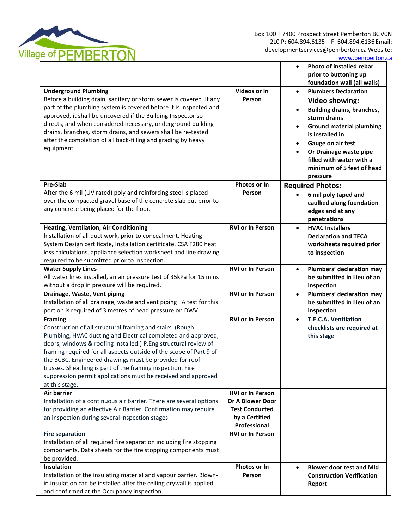

L

|                                                                            |                         | <b>Photo of installed rebar</b><br>$\bullet$<br>prior to buttoning up |
|----------------------------------------------------------------------------|-------------------------|-----------------------------------------------------------------------|
|                                                                            |                         | foundation wall (all walls)                                           |
| <b>Underground Plumbing</b>                                                | Videos or In            | <b>Plumbers Declaration</b><br>$\bullet$                              |
| Before a building drain, sanitary or storm sewer is covered. If any        | Person                  | <b>Video showing:</b>                                                 |
| part of the plumbing system is covered before it is inspected and          |                         | <b>Building drains, branches,</b><br>$\bullet$                        |
| approved, it shall be uncovered if the Building Inspector so               |                         | storm drains                                                          |
| directs, and when considered necessary, underground building               |                         | <b>Ground material plumbing</b>                                       |
| drains, branches, storm drains, and sewers shall be re-tested              |                         | is installed in                                                       |
| after the completion of all back-filling and grading by heavy              |                         | Gauge on air test                                                     |
| equipment.                                                                 |                         | Or Drainage waste pipe<br>$\bullet$                                   |
|                                                                            |                         | filled with water with a                                              |
|                                                                            |                         | minimum of 5 feet of head                                             |
|                                                                            |                         | pressure                                                              |
| <b>Pre-Slab</b>                                                            | Photos or In            | <b>Required Photos:</b>                                               |
| After the 6 mil (UV rated) poly and reinforcing steel is placed            | Person                  | 6 mil poly taped and                                                  |
| over the compacted gravel base of the concrete slab but prior to           |                         | caulked along foundation                                              |
| any concrete being placed for the floor.                                   |                         | edges and at any                                                      |
|                                                                            |                         | penetrations                                                          |
| <b>Heating, Ventilation, Air Conditioning</b>                              | <b>RVI or In Person</b> | <b>HVAC Installers</b><br>$\bullet$                                   |
| Installation of all duct work, prior to concealment. Heating               |                         | <b>Declaration and TECA</b>                                           |
| System Design certificate, Installation certificate, CSA F280 heat         |                         | worksheets required prior                                             |
| loss calculations, appliance selection worksheet and line drawing          |                         | to inspection                                                         |
| required to be submitted prior to inspection.<br><b>Water Supply Lines</b> | <b>RVI or In Person</b> |                                                                       |
| All water lines installed, an air pressure test of 35kPa for 15 mins       |                         | Plumbers' declaration may<br>$\bullet$<br>be submitted in Lieu of an  |
| without a drop in pressure will be required.                               |                         | inspection                                                            |
| Drainage, Waste, Vent piping                                               | <b>RVI or In Person</b> | Plumbers' declaration may<br>$\bullet$                                |
| Installation of all drainage, waste and vent piping . A test for this      |                         | be submitted in Lieu of an                                            |
| portion is required of 3 metres of head pressure on DWV.                   |                         | inspection                                                            |
| <b>Framing</b>                                                             | <b>RVI or In Person</b> | T.E.C.A. Ventilation<br>$\bullet$                                     |
| Construction of all structural framing and stairs. (Rough                  |                         | checklists are required at                                            |
| Plumbing, HVAC ducting and Electrical completed and approved,              |                         | this stage                                                            |
| doors, windows & roofing installed.) P.Eng structural review of            |                         |                                                                       |
| framing required for all aspects outside of the scope of Part 9 of         |                         |                                                                       |
| the BCBC. Engineered drawings must be provided for roof                    |                         |                                                                       |
| trusses. Sheathing is part of the framing inspection. Fire                 |                         |                                                                       |
| suppression permit applications must be received and approved              |                         |                                                                       |
| at this stage.<br>Air barrier                                              | <b>RVI or In Person</b> |                                                                       |
| Installation of a continuous air barrier. There are several options        | <b>Or A Blower Door</b> |                                                                       |
| for providing an effective Air Barrier. Confirmation may require           | <b>Test Conducted</b>   |                                                                       |
| an inspection during several inspection stages.                            | by a Certified          |                                                                       |
|                                                                            | Professional            |                                                                       |
| <b>Fire separation</b>                                                     | <b>RVI or In Person</b> |                                                                       |
| Installation of all required fire separation including fire stopping       |                         |                                                                       |
| components. Data sheets for the fire stopping components must              |                         |                                                                       |
| be provided.                                                               |                         |                                                                       |
| Insulation                                                                 | Photos or In            | <b>Blower door test and Mid</b><br>$\bullet$                          |
| Installation of the insulating material and vapour barrier. Blown-         | Person                  | <b>Construction Verification</b>                                      |
| in insulation can be installed after the ceiling drywall is applied        |                         | Report                                                                |
| and confirmed at the Occupancy inspection.                                 |                         |                                                                       |